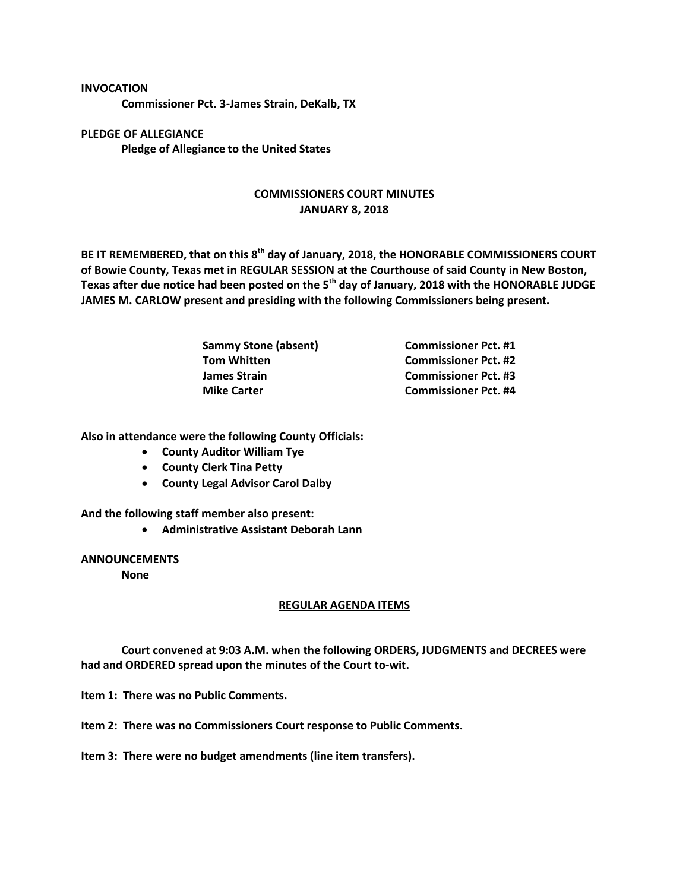## **INVOCATION**

**Commissioner Pct. 3-James Strain, DeKalb, TX**

**PLEDGE OF ALLEGIANCE Pledge of Allegiance to the United States**

## **COMMISSIONERS COURT MINUTES JANUARY 8, 2018**

**BE IT REMEMBERED, that on this 8th day of January, 2018, the HONORABLE COMMISSIONERS COURT of Bowie County, Texas met in REGULAR SESSION at the Courthouse of said County in New Boston, Texas after due notice had been posted on the 5th day of January, 2018 with the HONORABLE JUDGE JAMES M. CARLOW present and presiding with the following Commissioners being present.**

| <b>Sammy Stone (absent)</b> | <b>Commissioner Pct. #1</b> |
|-----------------------------|-----------------------------|
| <b>Tom Whitten</b>          | <b>Commissioner Pct. #2</b> |
| James Strain                | <b>Commissioner Pct. #3</b> |
| <b>Mike Carter</b>          | <b>Commissioner Pct. #4</b> |

**Also in attendance were the following County Officials:**

- **County Auditor William Tye**
- **County Clerk Tina Petty**
- **County Legal Advisor Carol Dalby**

**And the following staff member also present:**

**Administrative Assistant Deborah Lann**

## **ANNOUNCEMENTS**

**None**

## **REGULAR AGENDA ITEMS**

**Court convened at 9:03 A.M. when the following ORDERS, JUDGMENTS and DECREES were had and ORDERED spread upon the minutes of the Court to-wit.**

**Item 1: There was no Public Comments.**

**Item 2: There was no Commissioners Court response to Public Comments.**

**Item 3: There were no budget amendments (line item transfers).**